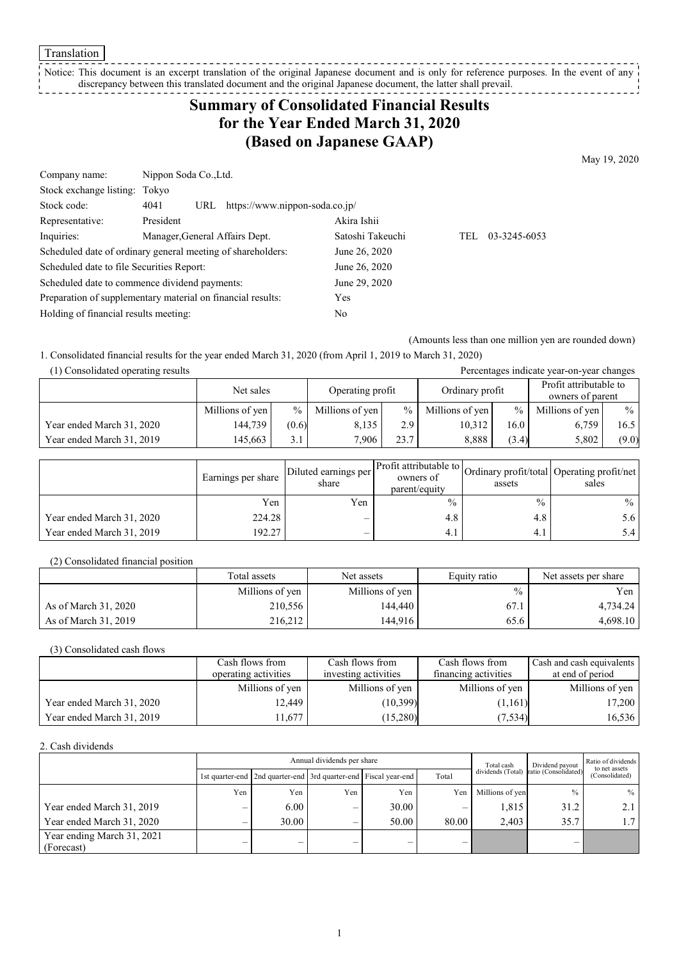Translation

Notice: This document is an excerpt translation of the original Japanese document and is only for reference purposes. In the event of any discrepancy between this translated document and the original Japanese document, the latter shall prevail. 

# **Summary of Consolidated Financial Results for the Year Ended March 31, 2020 (Based on Japanese GAAP)**

May 19, 2020

| Nippon Soda Co., Ltd.                                       |                  |     |              |  |
|-------------------------------------------------------------|------------------|-----|--------------|--|
| Stock exchange listing: Tokyo                               |                  |     |              |  |
| https://www.nippon-soda.co.jp/<br>URL                       |                  |     |              |  |
| President                                                   | Akira Ishii      |     |              |  |
| Manager, General Affairs Dept.                              | Satoshi Takeuchi | TEL | 03-3245-6053 |  |
| Scheduled date of ordinary general meeting of shareholders: | June 26, 2020    |     |              |  |
| Scheduled date to file Securities Report:                   | June 26, 2020    |     |              |  |
| Scheduled date to commence dividend payments:               | June 29, 2020    |     |              |  |
| Preparation of supplementary material on financial results: | Yes              |     |              |  |
| Holding of financial results meeting:                       | No               |     |              |  |
|                                                             | 4041             |     |              |  |

(Amounts less than one million yen are rounded down)

1. Consolidated financial results for the year ended March 31, 2020 (from April 1, 2019 to March 31, 2020) (1) Consolidated operating results Percentages indicate year-on-year changes

| (1) Consondated operating results |                               |       |                 |               |                 |                                            | Percentages indicate year-on-year changes |       |
|-----------------------------------|-------------------------------|-------|-----------------|---------------|-----------------|--------------------------------------------|-------------------------------------------|-------|
|                                   | Operating profit<br>Net sales |       | Ordinary profit |               |                 | Profit attributable to<br>owners of parent |                                           |       |
|                                   | Millions of yen               | $\%$  | Millions of yen | $\frac{0}{0}$ | Millions of yen | $\frac{0}{0}$                              | Millions of yen                           | $\%$  |
| Year ended March 31, 2020         | 144.739                       | (0.6) | 8.135           | 2.91          | 10,312          | 16.0                                       | 6.759                                     | 16.5  |
| Year ended March 31, 2019         | 145.663                       | 3.1   | 7.906           | 23.7          | 8.888           | (3.4)                                      | 5,802                                     | (9.0) |

|                           | Earnings per share | Diluted earnings per<br>share | Ner Profit attributable to Ordinary profit/total Operating profit/net<br>owners of<br>parent/equity | assets        | sales         |
|---------------------------|--------------------|-------------------------------|-----------------------------------------------------------------------------------------------------|---------------|---------------|
|                           | Yen                | Yen                           | $\frac{0}{0}$                                                                                       | $\frac{0}{0}$ | $\%$          |
| Year ended March 31, 2020 | 224.28             | -                             | 4.8                                                                                                 | 4.8           | 5.6 I         |
| Year ended March 31, 2019 | 192.27             |                               | 4.1                                                                                                 | 4.1           | $5.4^{\circ}$ |

(2) Consolidated financial position

|                      | Total assets    | Net assets      | Equity ratio  | Net assets per share |
|----------------------|-----------------|-----------------|---------------|----------------------|
|                      | Millions of yen | Millions of yen | $\frac{0}{0}$ | Yen l                |
| As of March 31, 2020 | 210,556         | 144.440         | 67.1          | 4,734.24             |
| As of March 31, 2019 | 216,212         | 144.916         | 65.6          | 4,698.10             |

(3) Consolidated cash flows

|                           | Cash flows from      | Cash flows from      | Cash flows from      | Cash and cash equivalents |
|---------------------------|----------------------|----------------------|----------------------|---------------------------|
|                           | operating activities | investing activities | financing activities | at end of period          |
|                           | Millions of yen      | Millions of yen      | Millions of yen      | Millions of yen           |
| Year ended March 31, 2020 | 12.449               | (10, 399)            | (1,161)              | 17,200                    |
| Year ended March 31, 2019 | 1.677                | (15,280)             | (7,534)              | 16,536                    |

2. Cash dividends

|                            |     | Annual dividends per share                                            |     |       |       | Total cash      | Dividend payout                        | Ratio of dividends<br>to net assets |
|----------------------------|-----|-----------------------------------------------------------------------|-----|-------|-------|-----------------|----------------------------------------|-------------------------------------|
|                            |     | 1st quarter-end   2nd quarter-end   3rd quarter-end   Fiscal year-end |     |       | Total |                 | dividends (Total) ratio (Consolidated) | (Consolidated)                      |
|                            | Yen | Yen                                                                   | Yen | Yen   | Yen   | Millions of yen | $\frac{0}{0}$                          | $%$                                 |
| Year ended March 31, 2019  |     | 6.00                                                                  | _   | 30.00 | –     | 1,815           | 31.2                                   | 2.1                                 |
| Year ended March 31, 2020  |     | 30.00                                                                 | _   | 50.00 | 80.00 | 2.403           | 35.7                                   | 1.7 <sup>1</sup>                    |
| Year ending March 31, 2021 |     |                                                                       |     | –     |       |                 |                                        |                                     |
| (Forecast)                 |     |                                                                       |     |       |       |                 |                                        |                                     |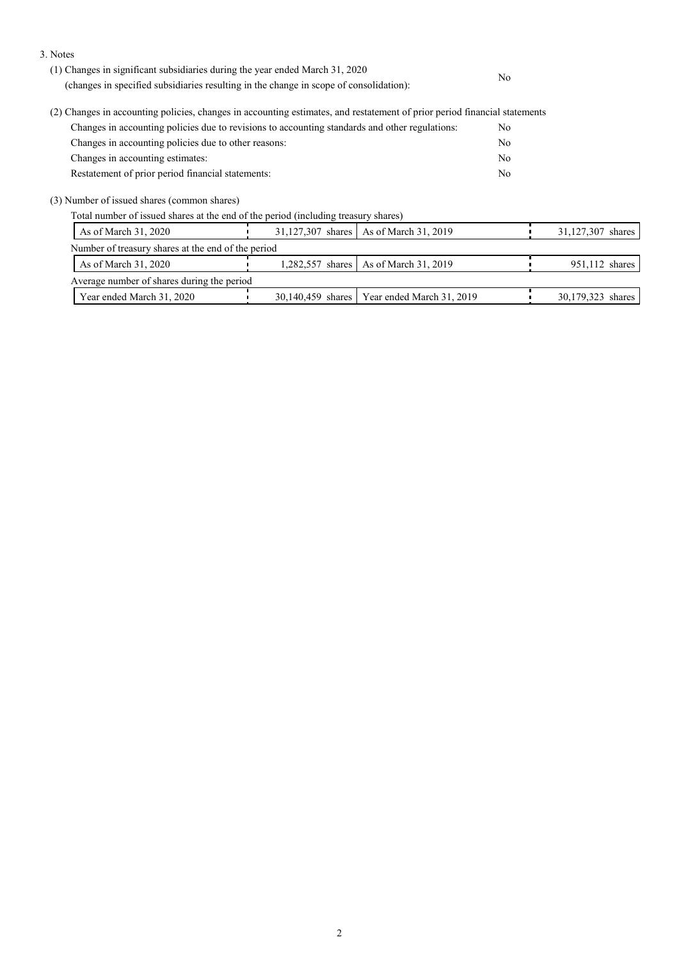3. Notes

| (1) Changes in significant subsidiaries during the year ended March 31, 2020<br>(changes in specified subsidiaries resulting in the change in scope of consolidation): | No  |
|------------------------------------------------------------------------------------------------------------------------------------------------------------------------|-----|
| (2) Changes in accounting policies, changes in accounting estimates, and restatement of prior period financial statements                                              |     |
| Changes in accounting policies due to revisions to accounting standards and other regulations:                                                                         | No. |
| Changes in accounting policies due to other reasons:                                                                                                                   | No  |
| Changes in accounting estimates:                                                                                                                                       | No  |

Restatement of prior period financial statements: No

(3) Number of issued shares (common shares)

Total number of issued shares at the end of the period (including treasury shares)

| As of March 31, 2020                               | 31,127,307 shares   As of March 31, 2019      | 31,127,307 shares |
|----------------------------------------------------|-----------------------------------------------|-------------------|
| Number of treasury shares at the end of the period |                                               |                   |
| As of March 31, 2020                               | 1,282,557 shares   As of March 31, 2019       | 951,112 shares    |
| Average number of shares during the period         |                                               |                   |
| Year ended March 31, 2020                          | 30,140,459 shares   Year ended March 31, 2019 | 30,179,323 shares |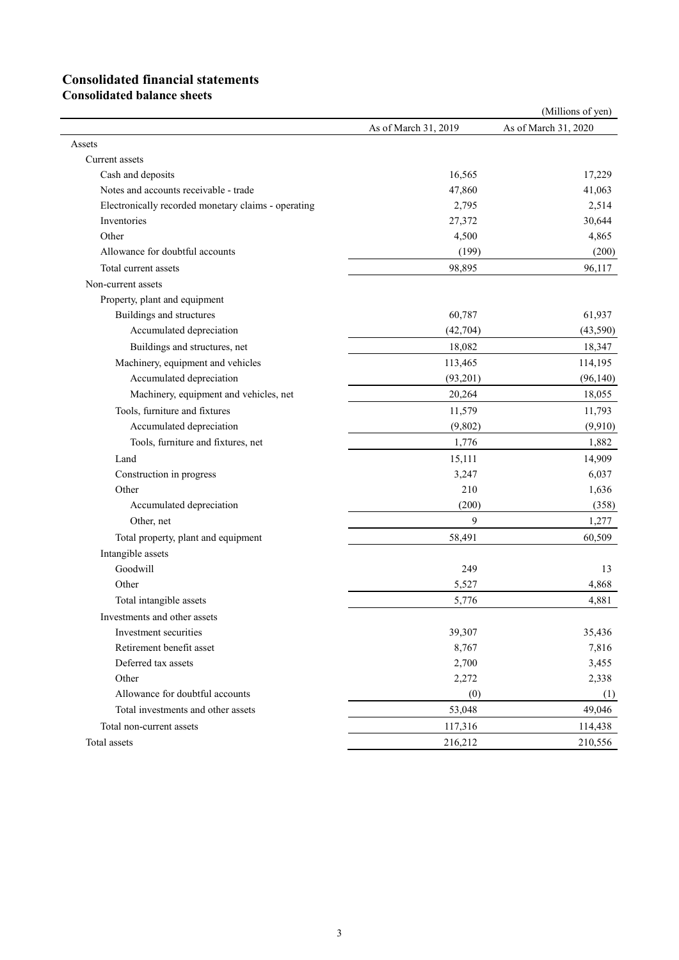# **Consolidated financial statements**

**Consolidated balance sheets**

|                                                     |                      | (Millions of yen)    |
|-----------------------------------------------------|----------------------|----------------------|
|                                                     | As of March 31, 2019 | As of March 31, 2020 |
| Assets                                              |                      |                      |
| Current assets                                      |                      |                      |
| Cash and deposits                                   | 16,565               | 17,229               |
| Notes and accounts receivable - trade               | 47,860               | 41,063               |
| Electronically recorded monetary claims - operating | 2,795                | 2,514                |
| Inventories                                         | 27,372               | 30,644               |
| Other                                               | 4,500                | 4,865                |
| Allowance for doubtful accounts                     | (199)                | (200)                |
| Total current assets                                | 98,895               | 96,117               |
| Non-current assets                                  |                      |                      |
| Property, plant and equipment                       |                      |                      |
| Buildings and structures                            | 60,787               | 61,937               |
| Accumulated depreciation                            | (42,704)             | (43,590)             |
| Buildings and structures, net                       | 18,082               | 18,347               |
| Machinery, equipment and vehicles                   | 113,465              | 114,195              |
| Accumulated depreciation                            | (93,201)             | (96, 140)            |
| Machinery, equipment and vehicles, net              | 20,264               | 18,055               |
| Tools, furniture and fixtures                       | 11,579               | 11,793               |
| Accumulated depreciation                            | (9,802)              | (9,910)              |
| Tools, furniture and fixtures, net                  | 1,776                | 1,882                |
| Land                                                | 15,111               | 14,909               |
| Construction in progress                            | 3,247                | 6,037                |
| Other                                               | 210                  | 1,636                |
| Accumulated depreciation                            | (200)                | (358)                |
| Other, net                                          | 9                    | 1,277                |
| Total property, plant and equipment                 | 58,491               | 60,509               |
| Intangible assets                                   |                      |                      |
| Goodwill                                            | 249                  | 13                   |
| Other                                               | 5,527                | 4,868                |
| Total intangible assets                             | 5,776                | 4,881                |
| Investments and other assets                        |                      |                      |
| Investment securities                               | 39,307               | 35,436               |
| Retirement benefit asset                            | 8,767                | 7,816                |
| Deferred tax assets                                 | 2,700                | 3,455                |
| Other                                               | 2,272                | 2,338                |
| Allowance for doubtful accounts                     | (0)                  | (1)                  |
| Total investments and other assets                  | 53,048               | 49,046               |
| Total non-current assets                            | 117,316              | 114,438              |
| Total assets                                        | 216,212              | 210,556              |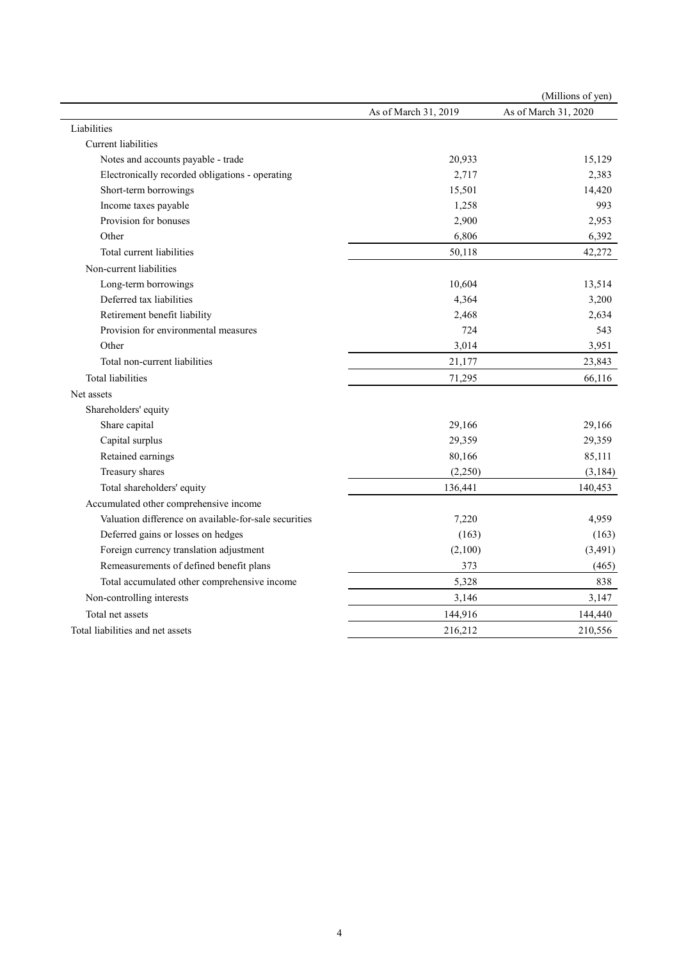|                                                       |                      | (Millions of yen)    |
|-------------------------------------------------------|----------------------|----------------------|
|                                                       | As of March 31, 2019 | As of March 31, 2020 |
| Liabilities                                           |                      |                      |
| <b>Current</b> liabilities                            |                      |                      |
| Notes and accounts payable - trade                    | 20,933               | 15,129               |
| Electronically recorded obligations - operating       | 2,717                | 2,383                |
| Short-term borrowings                                 | 15,501               | 14,420               |
| Income taxes payable                                  | 1,258                | 993                  |
| Provision for bonuses                                 | 2,900                | 2,953                |
| Other                                                 | 6,806                | 6,392                |
| Total current liabilities                             | 50,118               | 42,272               |
| Non-current liabilities                               |                      |                      |
| Long-term borrowings                                  | 10,604               | 13,514               |
| Deferred tax liabilities                              | 4,364                | 3,200                |
| Retirement benefit liability                          | 2,468                | 2,634                |
| Provision for environmental measures                  | 724                  | 543                  |
| Other                                                 | 3,014                | 3,951                |
| Total non-current liabilities                         | 21,177               | 23,843               |
| Total liabilities                                     | 71,295               | 66,116               |
| Net assets                                            |                      |                      |
| Shareholders' equity                                  |                      |                      |
| Share capital                                         | 29,166               | 29,166               |
| Capital surplus                                       | 29,359               | 29,359               |
| Retained earnings                                     | 80,166               | 85,111               |
| Treasury shares                                       | (2,250)              | (3, 184)             |
| Total shareholders' equity                            | 136,441              | 140,453              |
| Accumulated other comprehensive income                |                      |                      |
| Valuation difference on available-for-sale securities | 7,220                | 4,959                |
| Deferred gains or losses on hedges                    | (163)                | (163)                |
| Foreign currency translation adjustment               | (2,100)              | (3, 491)             |
| Remeasurements of defined benefit plans               | 373                  | (465)                |
| Total accumulated other comprehensive income          | 5,328                | 838                  |
| Non-controlling interests                             | 3,146                | 3,147                |
| Total net assets                                      | 144,916              | 144,440              |
| Total liabilities and net assets                      | 216,212              | 210,556              |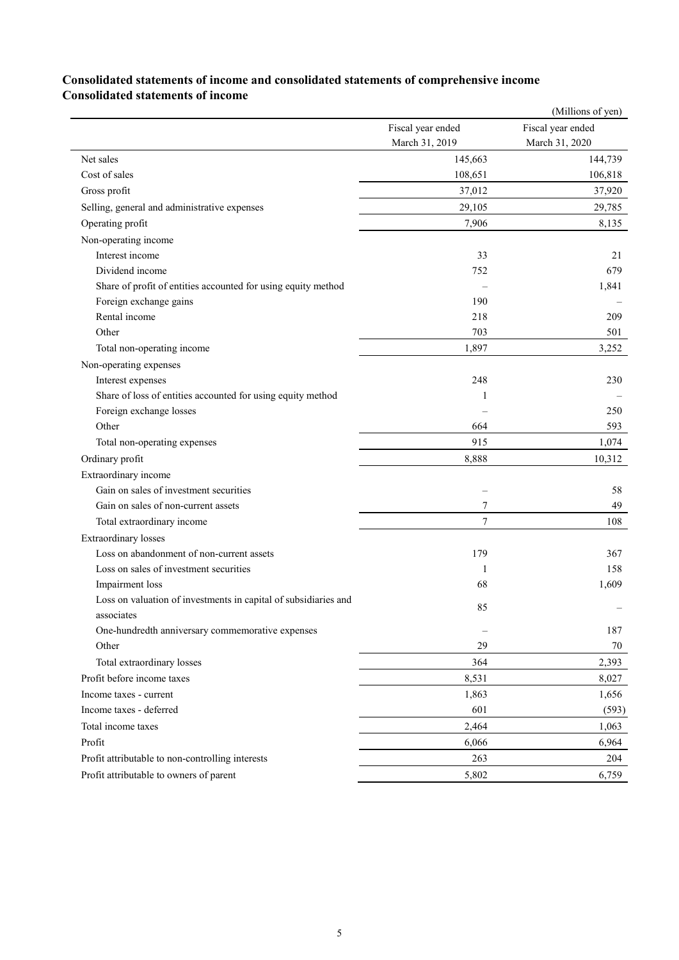#### **Consolidated statements of income and consolidated statements of comprehensive income Consolidated statements of income**

|                                                                 |                          | (Millions of yen) |
|-----------------------------------------------------------------|--------------------------|-------------------|
|                                                                 | Fiscal year ended        | Fiscal year ended |
|                                                                 | March 31, 2019           | March 31, 2020    |
| Net sales                                                       | 145,663                  | 144,739           |
| Cost of sales                                                   | 108,651                  | 106,818           |
| Gross profit                                                    | 37,012                   | 37,920            |
| Selling, general and administrative expenses                    | 29,105                   | 29,785            |
| Operating profit                                                | 7,906                    | 8,135             |
| Non-operating income                                            |                          |                   |
| Interest income                                                 | 33                       | 21                |
| Dividend income                                                 | 752                      | 679               |
| Share of profit of entities accounted for using equity method   |                          | 1,841             |
| Foreign exchange gains                                          | 190                      |                   |
| Rental income                                                   | 218                      | 209               |
| Other                                                           | 703                      | 501               |
| Total non-operating income                                      | 1,897                    | 3,252             |
| Non-operating expenses                                          |                          |                   |
| Interest expenses                                               | 248                      | 230               |
| Share of loss of entities accounted for using equity method     | 1                        |                   |
| Foreign exchange losses                                         |                          | 250               |
| Other                                                           | 664                      | 593               |
| Total non-operating expenses                                    | 915                      | 1,074             |
| Ordinary profit                                                 | 8,888                    | 10,312            |
| Extraordinary income                                            |                          |                   |
| Gain on sales of investment securities                          | $\overline{\phantom{0}}$ | 58                |
| Gain on sales of non-current assets                             | 7                        | 49                |
| Total extraordinary income                                      | 7                        | 108               |
| <b>Extraordinary losses</b>                                     |                          |                   |
| Loss on abandonment of non-current assets                       | 179                      | 367               |
| Loss on sales of investment securities                          | 1                        | 158               |
| Impairment loss                                                 | 68                       | 1,609             |
| Loss on valuation of investments in capital of subsidiaries and |                          |                   |
| associates                                                      | 85                       |                   |
| One-hundredth anniversary commemorative expenses                |                          | 187               |
| Other                                                           | 29                       | 70                |
| Total extraordinary losses                                      | 364                      | 2,393             |
| Profit before income taxes                                      | 8,531                    | 8,027             |
| Income taxes - current                                          | 1,863                    | 1,656             |
| Income taxes - deferred                                         | 601                      | (593)             |
| Total income taxes                                              | 2,464                    | 1,063             |
| Profit                                                          | 6,066                    | 6,964             |
| Profit attributable to non-controlling interests                | 263                      | 204               |
| Profit attributable to owners of parent                         | 5,802                    | 6,759             |
|                                                                 |                          |                   |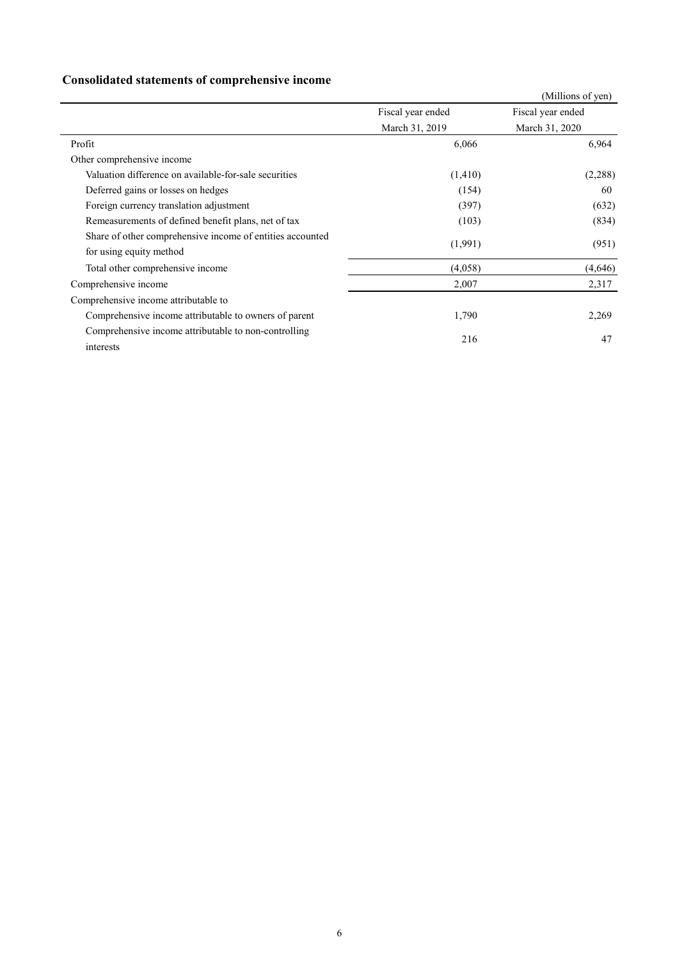## **Consolidated statements of comprehensive income**

|                                                           |                   | (Millions of yen) |
|-----------------------------------------------------------|-------------------|-------------------|
|                                                           | Fiscal year ended | Fiscal year ended |
|                                                           | March 31, 2019    | March 31, 2020    |
| Profit                                                    | 6,066             | 6,964             |
| Other comprehensive income                                |                   |                   |
| Valuation difference on available-for-sale securities     | (1,410)           | (2,288)           |
| Deferred gains or losses on hedges                        | (154)             | 60                |
| Foreign currency translation adjustment                   | (397)             | (632)             |
| Remeasurements of defined benefit plans, net of tax       | (103)             | (834)             |
| Share of other comprehensive income of entities accounted | (1,991)           |                   |
| for using equity method                                   |                   | (951)             |
| Total other comprehensive income                          | (4,058)           | (4,646)           |
| Comprehensive income                                      | 2,007             | 2,317             |
| Comprehensive income attributable to                      |                   |                   |
| Comprehensive income attributable to owners of parent     | 1,790             | 2,269             |
| Comprehensive income attributable to non-controlling      |                   |                   |
| interests                                                 | 216               | 47                |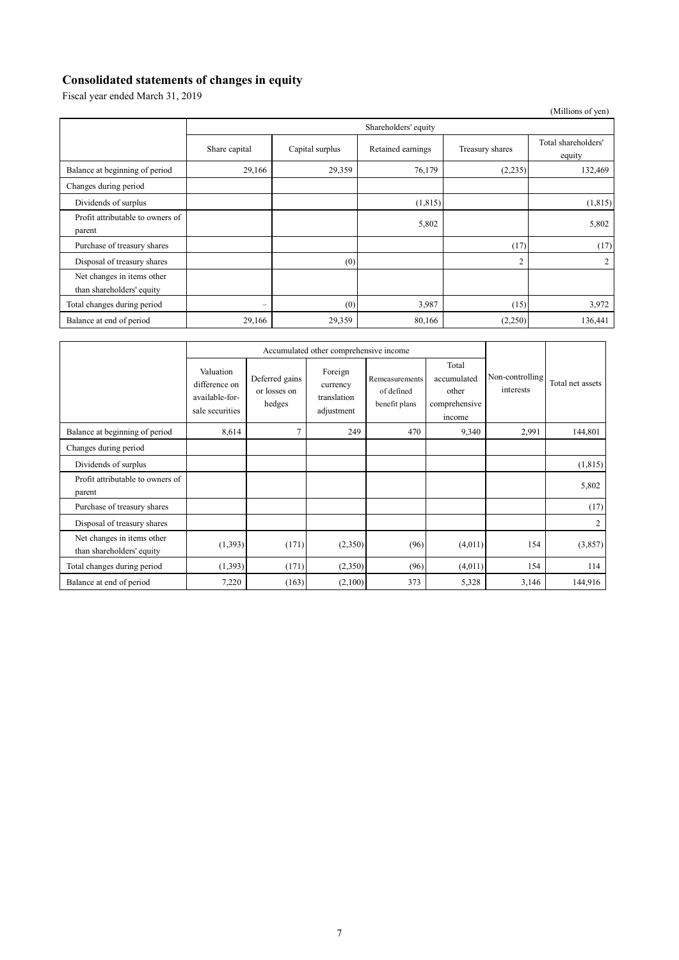## **Consolidated statements of changes in equity**

Fiscal year ended March 31, 2019

|                                                         |                          |                 |                   |                 | (Millions of yen)             |  |  |  |
|---------------------------------------------------------|--------------------------|-----------------|-------------------|-----------------|-------------------------------|--|--|--|
|                                                         | Shareholders' equity     |                 |                   |                 |                               |  |  |  |
|                                                         | Share capital            | Capital surplus | Retained earnings | Treasury shares | Total shareholders'<br>equity |  |  |  |
| Balance at beginning of period                          | 29,166                   | 29,359          | 76,179            | (2,235)         | 132,469                       |  |  |  |
| Changes during period                                   |                          |                 |                   |                 |                               |  |  |  |
| Dividends of surplus                                    |                          |                 | (1, 815)          |                 | (1,815)                       |  |  |  |
| Profit attributable to owners of<br>parent              |                          |                 | 5,802             |                 | 5,802                         |  |  |  |
| Purchase of treasury shares                             |                          |                 |                   | (17)            | (17)                          |  |  |  |
| Disposal of treasury shares                             |                          | (0)             |                   | $\overline{2}$  | 2                             |  |  |  |
| Net changes in items other<br>than shareholders' equity |                          |                 |                   |                 |                               |  |  |  |
| Total changes during period                             | $\overline{\phantom{m}}$ | (0)             | 3,987             | (15)            | 3,972                         |  |  |  |
| Balance at end of period                                | 29,166                   | 29,359          | 80,166            | (2,250)         | 136,441                       |  |  |  |

|                                                         | Accumulated other comprehensive income                          |                                          |                                                  |                                               |                                                          |                              |                  |
|---------------------------------------------------------|-----------------------------------------------------------------|------------------------------------------|--------------------------------------------------|-----------------------------------------------|----------------------------------------------------------|------------------------------|------------------|
|                                                         | Valuation<br>difference on<br>available-for-<br>sale securities | Deferred gains<br>or losses on<br>hedges | Foreign<br>currency<br>translation<br>adjustment | Remeasurements<br>of defined<br>benefit plans | Total<br>accumulated<br>other<br>comprehensive<br>income | Non-controlling<br>interests | Total net assets |
| Balance at beginning of period                          | 8,614                                                           | $\overline{7}$                           | 249                                              | 470                                           | 9,340                                                    | 2,991                        | 144,801          |
| Changes during period                                   |                                                                 |                                          |                                                  |                                               |                                                          |                              |                  |
| Dividends of surplus                                    |                                                                 |                                          |                                                  |                                               |                                                          |                              | (1, 815)         |
| Profit attributable to owners of<br>parent              |                                                                 |                                          |                                                  |                                               |                                                          |                              | 5,802            |
| Purchase of treasury shares                             |                                                                 |                                          |                                                  |                                               |                                                          |                              | (17)             |
| Disposal of treasury shares                             |                                                                 |                                          |                                                  |                                               |                                                          |                              | 2                |
| Net changes in items other<br>than shareholders' equity | (1,393)                                                         | (171)                                    | (2,350)                                          | (96)                                          | (4,011)                                                  | 154                          | (3,857)          |
| Total changes during period                             | (1,393)                                                         | (171)                                    | (2,350)                                          | (96)                                          | (4,011)                                                  | 154                          | 114              |
| Balance at end of period                                | 7,220                                                           | (163)                                    | (2,100)                                          | 373                                           | 5,328                                                    | 3,146                        | 144,916          |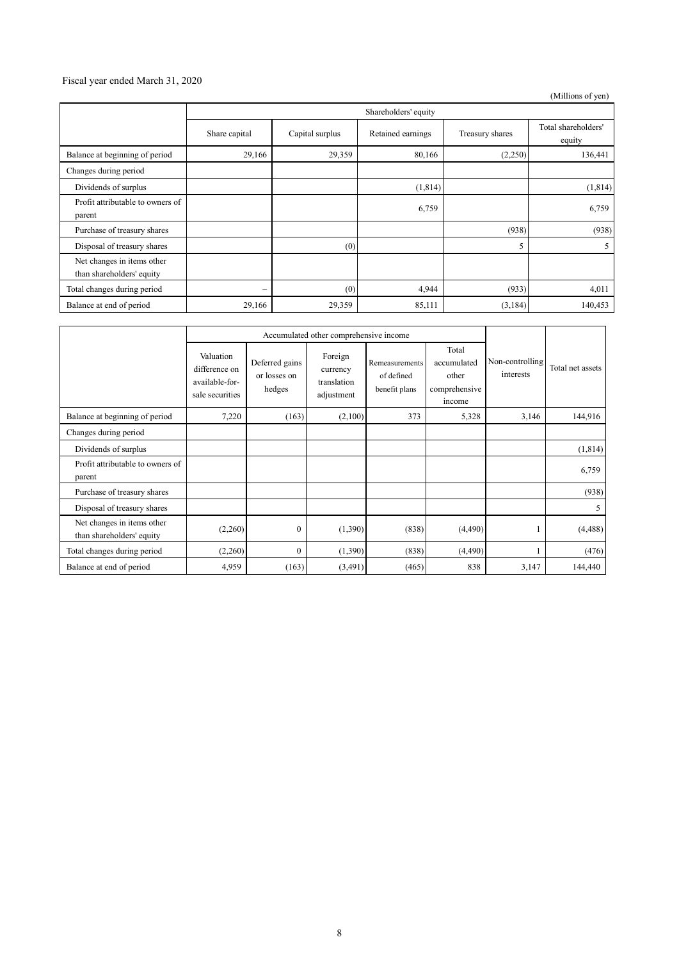#### Fiscal year ended March 31, 2020

(Millions of yen)

|                                                         | Shareholders' equity     |                 |                   |                 |                               |  |
|---------------------------------------------------------|--------------------------|-----------------|-------------------|-----------------|-------------------------------|--|
|                                                         | Share capital            | Capital surplus | Retained earnings | Treasury shares | Total shareholders'<br>equity |  |
| Balance at beginning of period                          | 29,166                   | 29,359          | 80,166            | (2,250)         | 136,441                       |  |
| Changes during period                                   |                          |                 |                   |                 |                               |  |
| Dividends of surplus                                    |                          |                 | (1,814)           |                 | (1,814)                       |  |
| Profit attributable to owners of<br>parent              |                          |                 | 6,759             |                 | 6,759                         |  |
| Purchase of treasury shares                             |                          |                 |                   | (938)           | (938)                         |  |
| Disposal of treasury shares                             |                          | (0)             |                   | 5               | 5                             |  |
| Net changes in items other<br>than shareholders' equity |                          |                 |                   |                 |                               |  |
| Total changes during period                             | $\overline{\phantom{0}}$ | (0)             | 4,944             | (933)           | 4,011                         |  |
| Balance at end of period                                | 29,166                   | 29,359          | 85,111            | (3,184)         | 140,453                       |  |

|                                                         | Accumulated other comprehensive income                          |                                          |                                                  |                                               |                                                          |                              |                  |
|---------------------------------------------------------|-----------------------------------------------------------------|------------------------------------------|--------------------------------------------------|-----------------------------------------------|----------------------------------------------------------|------------------------------|------------------|
|                                                         | Valuation<br>difference on<br>available-for-<br>sale securities | Deferred gains<br>or losses on<br>hedges | Foreign<br>currency<br>translation<br>adjustment | Remeasurements<br>of defined<br>benefit plans | Total<br>accumulated<br>other<br>comprehensive<br>income | Non-controlling<br>interests | Total net assets |
| Balance at beginning of period                          | 7,220                                                           | (163)                                    | (2,100)                                          | 373                                           | 5,328                                                    | 3,146                        | 144,916          |
| Changes during period                                   |                                                                 |                                          |                                                  |                                               |                                                          |                              |                  |
| Dividends of surplus                                    |                                                                 |                                          |                                                  |                                               |                                                          |                              | (1,814)          |
| Profit attributable to owners of<br>parent              |                                                                 |                                          |                                                  |                                               |                                                          |                              | 6,759            |
| Purchase of treasury shares                             |                                                                 |                                          |                                                  |                                               |                                                          |                              | (938)            |
| Disposal of treasury shares                             |                                                                 |                                          |                                                  |                                               |                                                          |                              | 5                |
| Net changes in items other<br>than shareholders' equity | (2,260)                                                         | $\mathbf{0}$                             | (1,390)                                          | (838)                                         | (4,490)                                                  |                              | (4, 488)         |
| Total changes during period                             | (2,260)                                                         | $\mathbf{0}$                             | (1,390)                                          | (838)                                         | (4, 490)                                                 |                              | (476)            |
| Balance at end of period                                | 4,959                                                           | (163)                                    | (3,491)                                          | (465)                                         | 838                                                      | 3,147                        | 144,440          |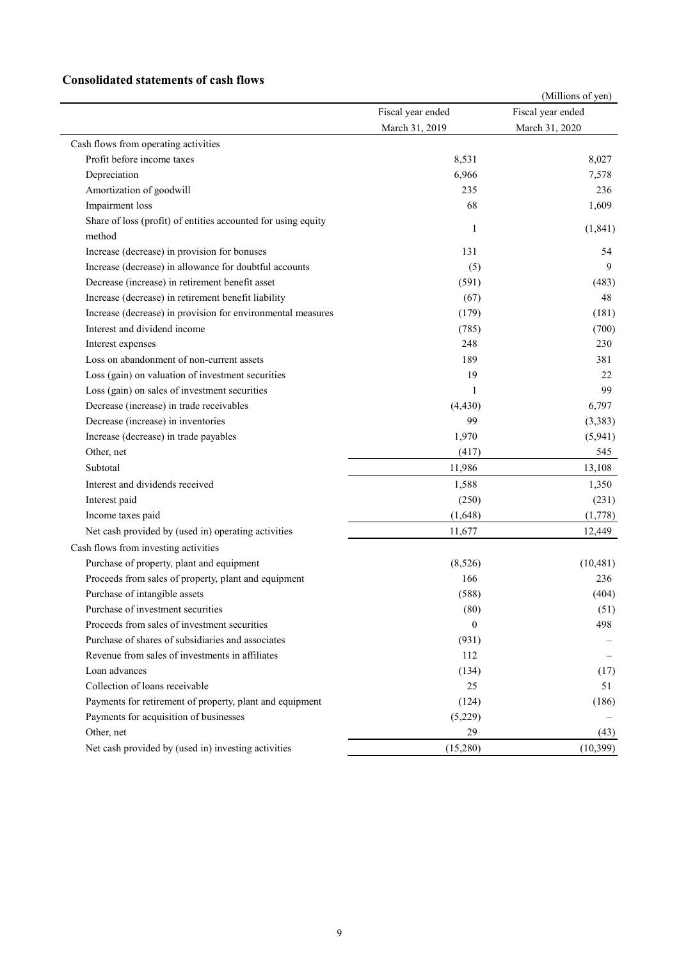#### **Consolidated statements of cash flows**

|                                                               |                   | (Millions of yen) |
|---------------------------------------------------------------|-------------------|-------------------|
|                                                               | Fiscal year ended | Fiscal year ended |
|                                                               | March 31, 2019    | March 31, 2020    |
| Cash flows from operating activities                          |                   |                   |
| Profit before income taxes                                    | 8,531             | 8,027             |
| Depreciation                                                  | 6,966             | 7,578             |
| Amortization of goodwill                                      | 235               | 236               |
| Impairment loss                                               | 68                | 1,609             |
| Share of loss (profit) of entities accounted for using equity | 1                 | (1, 841)          |
| method                                                        |                   |                   |
| Increase (decrease) in provision for bonuses                  | 131               | 54                |
| Increase (decrease) in allowance for doubtful accounts        | (5)               | 9                 |
| Decrease (increase) in retirement benefit asset               | (591)             | (483)             |
| Increase (decrease) in retirement benefit liability           | (67)              | 48                |
| Increase (decrease) in provision for environmental measures   | (179)             | (181)             |
| Interest and dividend income                                  | (785)             | (700)             |
| Interest expenses                                             | 248               | 230               |
| Loss on abandonment of non-current assets                     | 189               | 381               |
| Loss (gain) on valuation of investment securities             | 19                | 22                |
| Loss (gain) on sales of investment securities                 | 1                 | 99                |
| Decrease (increase) in trade receivables                      | (4, 430)          | 6,797             |
| Decrease (increase) in inventories                            | 99                | (3,383)           |
| Increase (decrease) in trade payables                         | 1,970             | (5,941)           |
| Other, net                                                    | (417)             | 545               |
| Subtotal                                                      | 11,986            | 13,108            |
| Interest and dividends received                               | 1,588             | 1,350             |
| Interest paid                                                 | (250)             | (231)             |
| Income taxes paid                                             | (1,648)           | (1,778)           |
| Net cash provided by (used in) operating activities           | 11,677            | 12,449            |
| Cash flows from investing activities                          |                   |                   |
| Purchase of property, plant and equipment                     | (8,526)           | (10, 481)         |
| Proceeds from sales of property, plant and equipment          | 166               | 236               |
| Purchase of intangible assets                                 | (588)             | (404)             |
| Purchase of investment securities                             | (80)              | (51)              |
| Proceeds from sales of investment securities                  | $\mathbf{0}$      | 498               |
| Purchase of shares of subsidiaries and associates             | (931)             |                   |
| Revenue from sales of investments in affiliates               | 112               |                   |
| Loan advances                                                 | (134)             | (17)              |
| Collection of loans receivable                                | 25                | 51                |
| Payments for retirement of property, plant and equipment      | (124)             | (186)             |
| Payments for acquisition of businesses                        | (5,229)           |                   |
| Other, net                                                    | 29                | (43)              |
| Net cash provided by (used in) investing activities           | (15,280)          | (10, 399)         |
|                                                               |                   |                   |